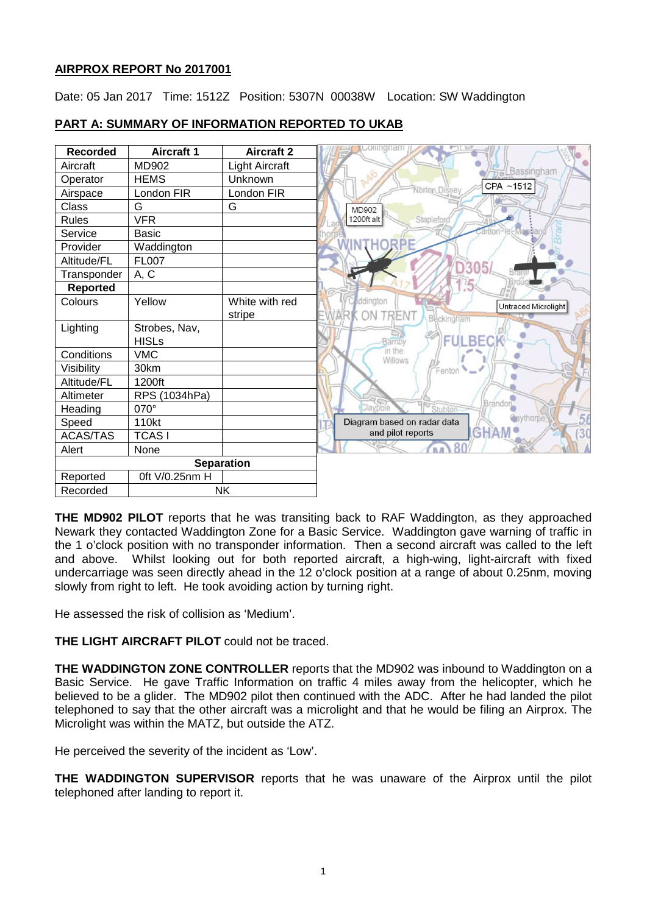## **AIRPROX REPORT No 2017001**

Date: 05 Jan 2017 Time: 1512Z Position: 5307N 00038W Location: SW Waddington

|  | <b>PART A: SUMMARY OF INFORMATION REPORTED TO UKAB</b> |  |
|--|--------------------------------------------------------|--|
|  |                                                        |  |

| <b>Recorded</b>   | <b>Aircraft 1</b> | <b>Aircraft 2</b>     |                                          |
|-------------------|-------------------|-----------------------|------------------------------------------|
| Aircraft          | MD902             | <b>Light Aircraft</b> | LBassingham                              |
| Operator          | <b>HEMS</b>       | Unknown               | CPA ~1512                                |
| Airspace          | London FIR        | London FIR            | Norton Disney                            |
| Class             | G                 | G                     | <b>MD902</b>                             |
| <b>Rules</b>      | <b>VFR</b>        |                       | Stapleford<br>1200ft alt                 |
| Service           | Basic             |                       | ariton-le-Monda                          |
| Provider          | Waddington        |                       | <b>NTHORPE</b>                           |
| Altitude/FL       | <b>FL007</b>      |                       | 305                                      |
| Transponder       | A, C              |                       |                                          |
| Reported          |                   |                       |                                          |
| Colours           | Yellow            | White with red        | Coddington<br>Untraced Microlight        |
|                   |                   | stripe                | <b>TRENT</b><br>Beckingham               |
| Lighting          | Strobes, Nav,     |                       |                                          |
|                   | <b>HISLs</b>      |                       | <b>FULB</b><br>Barnby                    |
| Conditions        | <b>VMC</b>        |                       | in the<br>Willows                        |
| Visibility        | 30km              |                       | Fenton<br>m.                             |
| Altitude/FL       | 1200ft            |                       |                                          |
| Altimeter         | RPS (1034hPa)     |                       | Brandon                                  |
| Heading           | 070°              |                       | Claypole<br>Stubtor                      |
| Speed             | 110kt             |                       | Caythorpe<br>Diagram based on radar data |
| <b>ACAS/TAS</b>   | <b>TCASI</b>      |                       | <b>GHAM</b><br>and pilot reports         |
| Alert             | None              |                       |                                          |
| <b>Separation</b> |                   |                       |                                          |
| Reported          | 0ft V/0.25nm H    |                       |                                          |
| Recorded          | <b>NK</b>         |                       |                                          |

**THE MD902 PILOT** reports that he was transiting back to RAF Waddington, as they approached Newark they contacted Waddington Zone for a Basic Service. Waddington gave warning of traffic in the 1 o'clock position with no transponder information. Then a second aircraft was called to the left and above. Whilst looking out for both reported aircraft, a high-wing, light-aircraft with fixed undercarriage was seen directly ahead in the 12 o'clock position at a range of about 0.25nm, moving slowly from right to left. He took avoiding action by turning right.

He assessed the risk of collision as 'Medium'.

**THE LIGHT AIRCRAFT PILOT** could not be traced.

**THE WADDINGTON ZONE CONTROLLER** reports that the MD902 was inbound to Waddington on a Basic Service. He gave Traffic Information on traffic 4 miles away from the helicopter, which he believed to be a glider. The MD902 pilot then continued with the ADC. After he had landed the pilot telephoned to say that the other aircraft was a microlight and that he would be filing an Airprox. The Microlight was within the MATZ, but outside the ATZ.

He perceived the severity of the incident as 'Low'.

**THE WADDINGTON SUPERVISOR** reports that he was unaware of the Airprox until the pilot telephoned after landing to report it.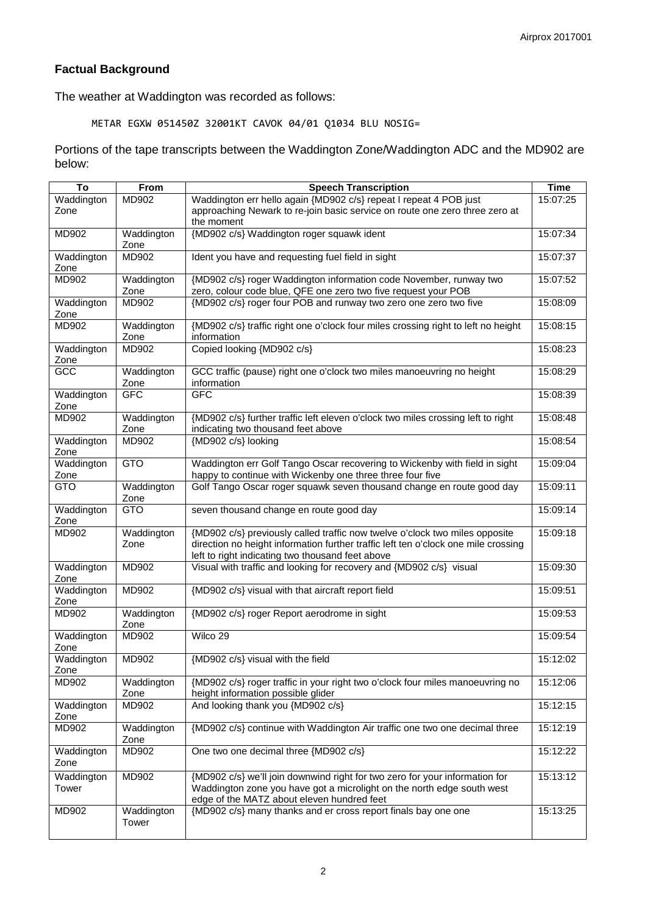# **Factual Background**

The weather at Waddington was recorded as follows:

METAR EGXW 051450Z 32001KT CAVOK 04/01 Q1034 BLU NOSIG=

Portions of the tape transcripts between the Waddington Zone/Waddington ADC and the MD902 are below:

| To                 | From               | <b>Speech Transcription</b>                                                        | <b>Time</b> |
|--------------------|--------------------|------------------------------------------------------------------------------------|-------------|
| Waddington         | MD902              | Waddington err hello again {MD902 c/s} repeat I repeat 4 POB just                  |             |
| Zone               |                    | approaching Newark to re-join basic service on route one zero three zero at        |             |
|                    |                    | the moment                                                                         |             |
| MD902              | Waddington         | {MD902 c/s} Waddington roger squawk ident                                          | 15:07:34    |
|                    | Zone               |                                                                                    |             |
| Waddington         | MD902              | Ident you have and requesting fuel field in sight                                  | 15:07:37    |
| Zone<br>MD902      | Waddington         | {MD902 c/s} roger Waddington information code November, runway two                 | 15:07:52    |
|                    | Zone               | zero, colour code blue, QFE one zero two five request your POB                     |             |
| Waddington         | MD902              | {MD902 c/s} roger four POB and runway two zero one zero two five                   | 15:08:09    |
| Zone               |                    |                                                                                    |             |
| MD902              | Waddington         | {MD902 c/s} traffic right one o'clock four miles crossing right to left no height  | 15:08:15    |
|                    | Zone               | information                                                                        |             |
| Waddington         | MD902              | Copied looking {MD902 c/s}                                                         | 15:08:23    |
| Zone               |                    |                                                                                    |             |
| GCC                | Waddington         | GCC traffic (pause) right one o'clock two miles manoeuvring no height              | 15:08:29    |
|                    | Zone               | information                                                                        |             |
| Waddington         | <b>GFC</b>         | <b>GFC</b>                                                                         | 15:08:39    |
| Zone               |                    |                                                                                    |             |
| MD902              | Waddington<br>Zone | {MD902 c/s} further traffic left eleven o'clock two miles crossing left to right   | 15:08:48    |
| Waddington         | MD902              | indicating two thousand feet above<br>{MD902 c/s} looking                          | 15:08:54    |
| Zone               |                    |                                                                                    |             |
| Waddington         | <b>GTO</b>         | Waddington err Golf Tango Oscar recovering to Wickenby with field in sight         | 15:09:04    |
| Zone               |                    | happy to continue with Wickenby one three three four five                          |             |
| <b>GTO</b>         | Waddington         | Golf Tango Oscar roger squawk seven thousand change en route good day              | 15:09:11    |
|                    | Zone               |                                                                                    |             |
| Waddington         | <b>GTO</b>         | seven thousand change en route good day                                            | 15:09:14    |
| Zone               |                    |                                                                                    |             |
| MD902              | Waddington         | {MD902 c/s} previously called traffic now twelve o'clock two miles opposite        | 15:09:18    |
|                    | Zone               | direction no height information further traffic left ten o'clock one mile crossing |             |
|                    |                    | left to right indicating two thousand feet above                                   |             |
| Waddington<br>Zone | MD902              | Visual with traffic and looking for recovery and {MD902 c/s} visual                | 15:09:30    |
| Waddington         | MD902              | {MD902 c/s} visual with that aircraft report field                                 | 15:09:51    |
| Zone               |                    |                                                                                    |             |
| MD902              | Waddington         | {MD902 c/s} roger Report aerodrome in sight                                        | 15:09:53    |
|                    | Zone               |                                                                                    |             |
| Waddington         | MD902              | Wilco 29                                                                           | 15:09:54    |
| Zone               |                    |                                                                                    |             |
| Waddington         | <b>MD902</b>       | {MD902 c/s} visual with the field                                                  | 15:12:02    |
| ∠one               |                    |                                                                                    |             |
| MD902              | Waddington         | {MD902 c/s} roger traffic in your right two o'clock four miles manoeuvring no      | 15:12:06    |
|                    | Zone               | height information possible glider                                                 |             |
| Waddington         | MD902              | And looking thank you {MD902 c/s}                                                  | 15:12:15    |
| Zone<br>MD902      |                    | {MD902 c/s} continue with Waddington Air traffic one two one decimal three         |             |
|                    | Waddington<br>Zone |                                                                                    | 15:12:19    |
| Waddington         | MD902              | One two one decimal three {MD902 c/s}                                              | 15:12:22    |
| Zone               |                    |                                                                                    |             |
| Waddington         | MD902              | {MD902 c/s} we'll join downwind right for two zero for your information for        | 15:13:12    |
| Tower              |                    | Waddington zone you have got a microlight on the north edge south west             |             |
|                    |                    | edge of the MATZ about eleven hundred feet                                         |             |
| MD902              | Waddington         | {MD902 c/s} many thanks and er cross report finals bay one one                     | 15:13:25    |
|                    | Tower              |                                                                                    |             |
|                    |                    |                                                                                    |             |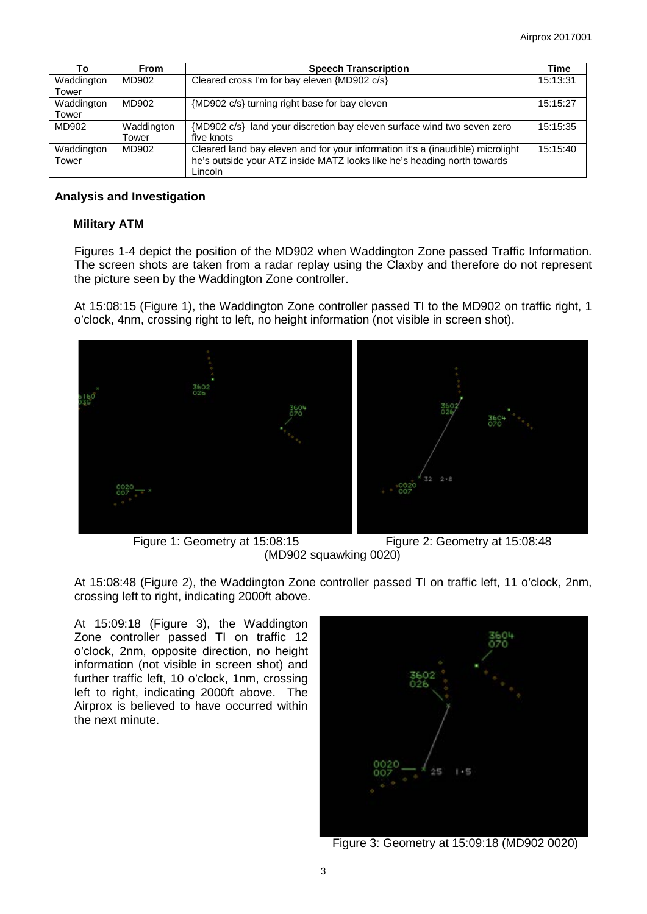| To         | <b>From</b> | <b>Speech Transcription</b>                                                    | Time     |
|------------|-------------|--------------------------------------------------------------------------------|----------|
| Waddington | MD902       | Cleared cross I'm for bay eleven {MD902 c/s}                                   | 15:13:31 |
| Tower      |             |                                                                                |          |
| Waddington | MD902       | {MD902 c/s} turning right base for bay eleven                                  | 15:15:27 |
| Tower      |             |                                                                                |          |
| MD902      | Waddington  | {MD902 c/s} land your discretion bay eleven surface wind two seven zero        | 15:15:35 |
|            | Tower       | five knots                                                                     |          |
| Waddington | MD902       | Cleared land bay eleven and for your information it's a (inaudible) microlight | 15:15:40 |
| Tower      |             | he's outside your ATZ inside MATZ looks like he's heading north towards        |          |
|            |             | Lincoln                                                                        |          |

#### **Analysis and Investigation**

#### **Military ATM**

Figures 1-4 depict the position of the MD902 when Waddington Zone passed Traffic Information. The screen shots are taken from a radar replay using the Claxby and therefore do not represent the picture seen by the Waddington Zone controller.

At 15:08:15 (Figure 1), the Waddington Zone controller passed TI to the MD902 on traffic right, 1 o'clock, 4nm, crossing right to left, no height information (not visible in screen shot).



Figure 1: Geometry at 15:08:15 Figure 2: Geometry at 15:08:48 (MD902 squawking 0020)

At 15:08:48 (Figure 2), the Waddington Zone controller passed TI on traffic left, 11 o'clock, 2nm, crossing left to right, indicating 2000ft above.

At 15:09:18 (Figure 3), the Waddington Zone controller passed TI on traffic 12 o'clock, 2nm, opposite direction, no height information (not visible in screen shot) and further traffic left, 10 o'clock, 1nm, crossing left to right, indicating 2000ft above. The Airprox is believed to have occurred within the next minute.



Figure 3: Geometry at 15:09:18 (MD902 0020)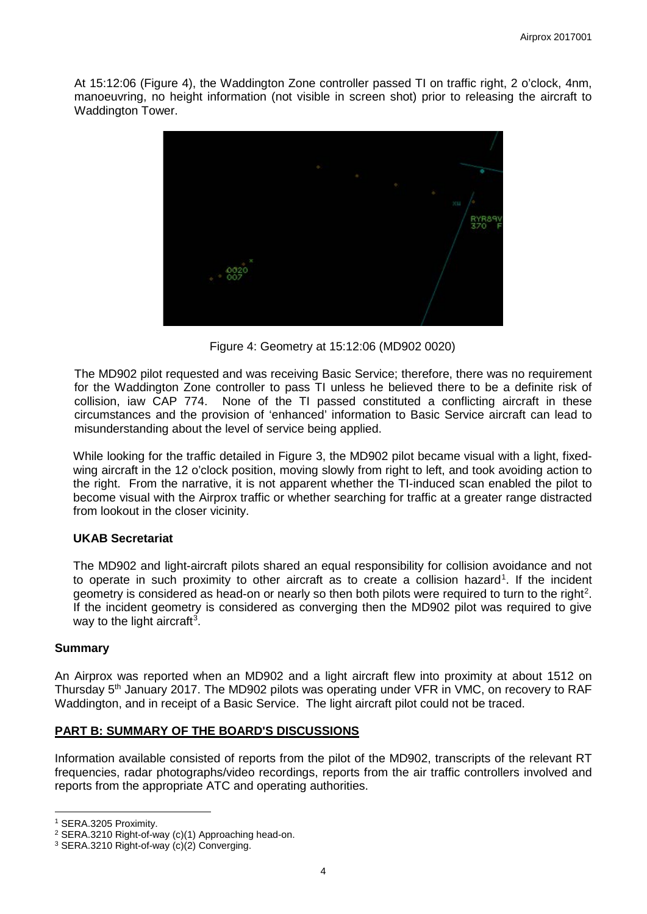At 15:12:06 (Figure 4), the Waddington Zone controller passed TI on traffic right, 2 o'clock, 4nm, manoeuvring, no height information (not visible in screen shot) prior to releasing the aircraft to Waddington Tower.



Figure 4: Geometry at 15:12:06 (MD902 0020)

The MD902 pilot requested and was receiving Basic Service; therefore, there was no requirement for the Waddington Zone controller to pass TI unless he believed there to be a definite risk of collision, iaw CAP 774. None of the TI passed constituted a conflicting aircraft in these circumstances and the provision of 'enhanced' information to Basic Service aircraft can lead to misunderstanding about the level of service being applied.

While looking for the traffic detailed in Figure 3, the MD902 pilot became visual with a light, fixedwing aircraft in the 12 o'clock position, moving slowly from right to left, and took avoiding action to the right. From the narrative, it is not apparent whether the TI-induced scan enabled the pilot to become visual with the Airprox traffic or whether searching for traffic at a greater range distracted from lookout in the closer vicinity.

## **UKAB Secretariat**

The MD902 and light-aircraft pilots shared an equal responsibility for collision avoidance and not to operate in such proximity to other aircraft as to create a collision hazard<sup>[1](#page-3-0)</sup>. If the incident geometry is considered as head-on or nearly so then both pilots were required to turn to the right<sup>[2](#page-3-1)</sup>. If the incident geometry is considered as converging then the MD902 pilot was required to give way to the light aircraft<sup>[3](#page-3-2)</sup>.

#### **Summary**

An Airprox was reported when an MD902 and a light aircraft flew into proximity at about 1512 on Thursday 5<sup>th</sup> January 2017. The MD902 pilots was operating under VFR in VMC, on recovery to RAF Waddington, and in receipt of a Basic Service. The light aircraft pilot could not be traced.

## **PART B: SUMMARY OF THE BOARD'S DISCUSSIONS**

Information available consisted of reports from the pilot of the MD902, transcripts of the relevant RT frequencies, radar photographs/video recordings, reports from the air traffic controllers involved and reports from the appropriate ATC and operating authorities.

 $\overline{\phantom{a}}$ 

<span id="page-3-0"></span><sup>1</sup> SERA.3205 Proximity.

<span id="page-3-1"></span><sup>2</sup> SERA.3210 Right-of-way (c)(1) Approaching head-on.

<span id="page-3-2"></span><sup>3</sup> SERA.3210 Right-of-way (c)(2) Converging.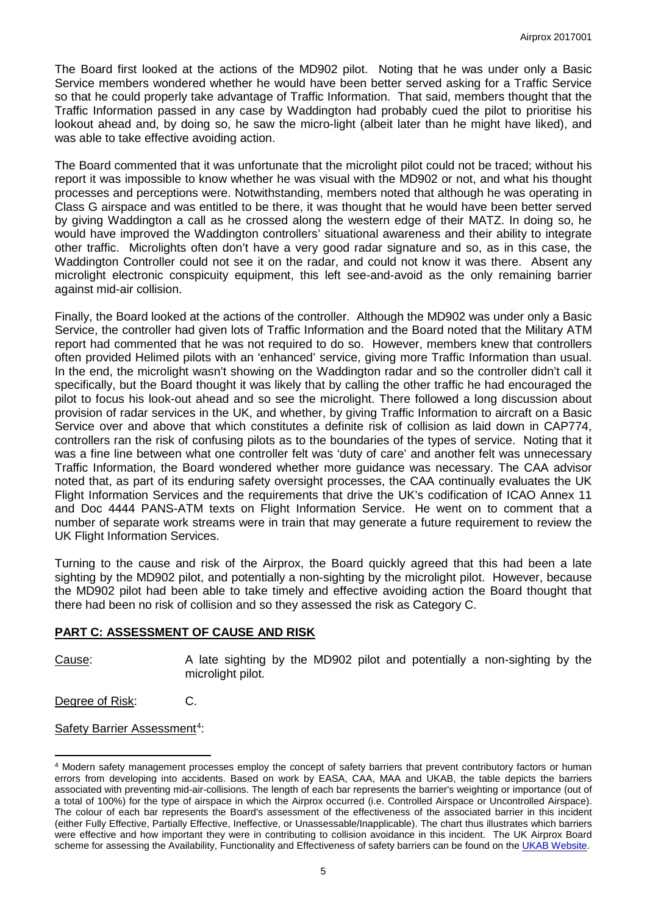The Board first looked at the actions of the MD902 pilot. Noting that he was under only a Basic Service members wondered whether he would have been better served asking for a Traffic Service so that he could properly take advantage of Traffic Information. That said, members thought that the Traffic Information passed in any case by Waddington had probably cued the pilot to prioritise his lookout ahead and, by doing so, he saw the micro-light (albeit later than he might have liked), and was able to take effective avoiding action.

The Board commented that it was unfortunate that the microlight pilot could not be traced; without his report it was impossible to know whether he was visual with the MD902 or not, and what his thought processes and perceptions were. Notwithstanding, members noted that although he was operating in Class G airspace and was entitled to be there, it was thought that he would have been better served by giving Waddington a call as he crossed along the western edge of their MATZ. In doing so, he would have improved the Waddington controllers' situational awareness and their ability to integrate other traffic. Microlights often don't have a very good radar signature and so, as in this case, the Waddington Controller could not see it on the radar, and could not know it was there. Absent any microlight electronic conspicuity equipment, this left see-and-avoid as the only remaining barrier against mid-air collision.

Finally, the Board looked at the actions of the controller. Although the MD902 was under only a Basic Service, the controller had given lots of Traffic Information and the Board noted that the Military ATM report had commented that he was not required to do so. However, members knew that controllers often provided Helimed pilots with an 'enhanced' service, giving more Traffic Information than usual. In the end, the microlight wasn't showing on the Waddington radar and so the controller didn't call it specifically, but the Board thought it was likely that by calling the other traffic he had encouraged the pilot to focus his look-out ahead and so see the microlight. There followed a long discussion about provision of radar services in the UK, and whether, by giving Traffic Information to aircraft on a Basic Service over and above that which constitutes a definite risk of collision as laid down in CAP774, controllers ran the risk of confusing pilots as to the boundaries of the types of service. Noting that it was a fine line between what one controller felt was 'duty of care' and another felt was unnecessary Traffic Information, the Board wondered whether more guidance was necessary. The CAA advisor noted that, as part of its enduring safety oversight processes, the CAA continually evaluates the UK Flight Information Services and the requirements that drive the UK's codification of ICAO Annex 11 and Doc 4444 PANS-ATM texts on Flight Information Service. He went on to comment that a number of separate work streams were in train that may generate a future requirement to review the UK Flight Information Services.

Turning to the cause and risk of the Airprox, the Board quickly agreed that this had been a late sighting by the MD902 pilot, and potentially a non-sighting by the microlight pilot. However, because the MD902 pilot had been able to take timely and effective avoiding action the Board thought that there had been no risk of collision and so they assessed the risk as Category C.

## **PART C: ASSESSMENT OF CAUSE AND RISK**

l

Cause: A late sighting by the MD902 pilot and potentially a non-sighting by the microlight pilot.

Degree of Risk: C.

Safety Barrier Assessment<sup>[4](#page-4-0)</sup>:

<span id="page-4-0"></span><sup>4</sup> Modern safety management processes employ the concept of safety barriers that prevent contributory factors or human errors from developing into accidents. Based on work by EASA, CAA, MAA and UKAB, the table depicts the barriers associated with preventing mid-air-collisions. The length of each bar represents the barrier's weighting or importance (out of a total of 100%) for the type of airspace in which the Airprox occurred (i.e. Controlled Airspace or Uncontrolled Airspace). The colour of each bar represents the Board's assessment of the effectiveness of the associated barrier in this incident (either Fully Effective, Partially Effective, Ineffective, or Unassessable/Inapplicable). The chart thus illustrates which barriers were effective and how important they were in contributing to collision avoidance in this incident. The UK Airprox Board scheme for assessing the Availability, Functionality and Effectiveness of safety barriers can be found on th[e UKAB Website.](http://www.airproxboard.org.uk/Learn-more/Airprox-Barrier-Assessment/)